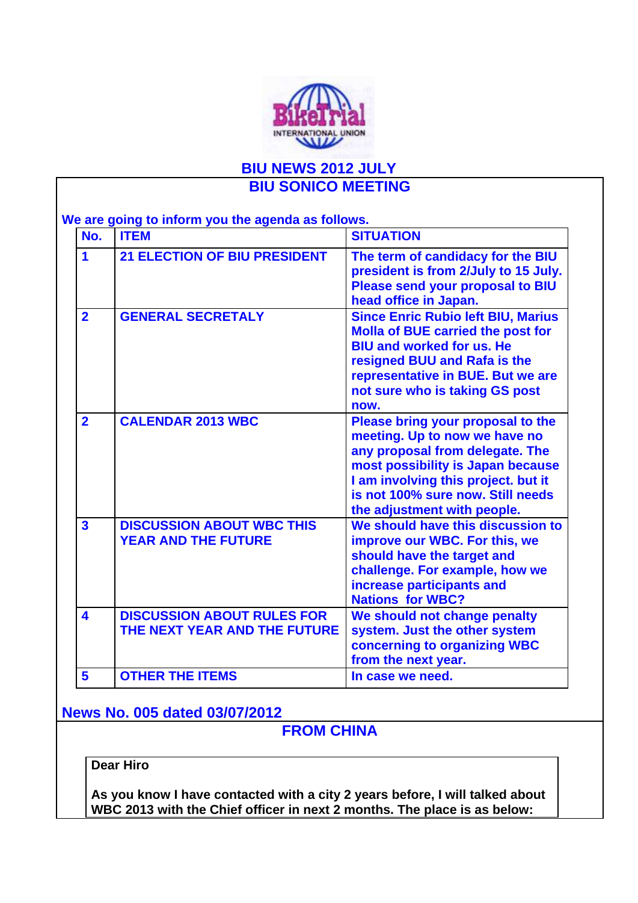

# **BIU NEWS 2012 JULY BIU SONICO MEETING**

**We are going to inform you the agenda as follows.**

| No.                     | <u>.</u><br><b>ITEM</b>                                           | <b>SITUATION</b>                                                                                                                                                                                                                                      |
|-------------------------|-------------------------------------------------------------------|-------------------------------------------------------------------------------------------------------------------------------------------------------------------------------------------------------------------------------------------------------|
| 1                       | <b>21 ELECTION OF BIU PRESIDENT</b>                               | The term of candidacy for the BIU<br>president is from 2/July to 15 July.<br>Please send your proposal to BIU<br>head office in Japan.                                                                                                                |
| $\overline{2}$          | <b>GENERAL SECRETALY</b>                                          | <b>Since Enric Rubio left BIU, Marius</b><br><b>Molla of BUE carried the post for</b><br><b>BIU and worked for us. He</b><br>resigned BUU and Rafa is the<br>representative in BUE. But we are<br>not sure who is taking GS post<br>now.              |
| $\overline{2}$          | <b>CALENDAR 2013 WBC</b>                                          | Please bring your proposal to the<br>meeting. Up to now we have no<br>any proposal from delegate. The<br>most possibility is Japan because<br>I am involving this project. but it<br>is not 100% sure now. Still needs<br>the adjustment with people. |
| $\overline{\mathbf{3}}$ | <b>DISCUSSION ABOUT WBC THIS</b><br><b>YEAR AND THE FUTURE</b>    | We should have this discussion to<br>improve our WBC. For this, we<br>should have the target and<br>challenge. For example, how we<br>increase participants and<br><b>Nations for WBC?</b>                                                            |
| $\overline{\mathbf{4}}$ | <b>DISCUSSION ABOUT RULES FOR</b><br>THE NEXT YEAR AND THE FUTURE | We should not change penalty<br>system. Just the other system<br>concerning to organizing WBC<br>from the next year.                                                                                                                                  |
| 5                       | <b>OTHER THE ITEMS</b>                                            | In case we need.                                                                                                                                                                                                                                      |

**News No. 005 dated 03/07/2012**

**FROM CHINA**

**Dear Hiro**

**As you know I have contacted with a city 2 years before, I will talked about WBC 2013 with the Chief officer in next 2 months. The place is as below:**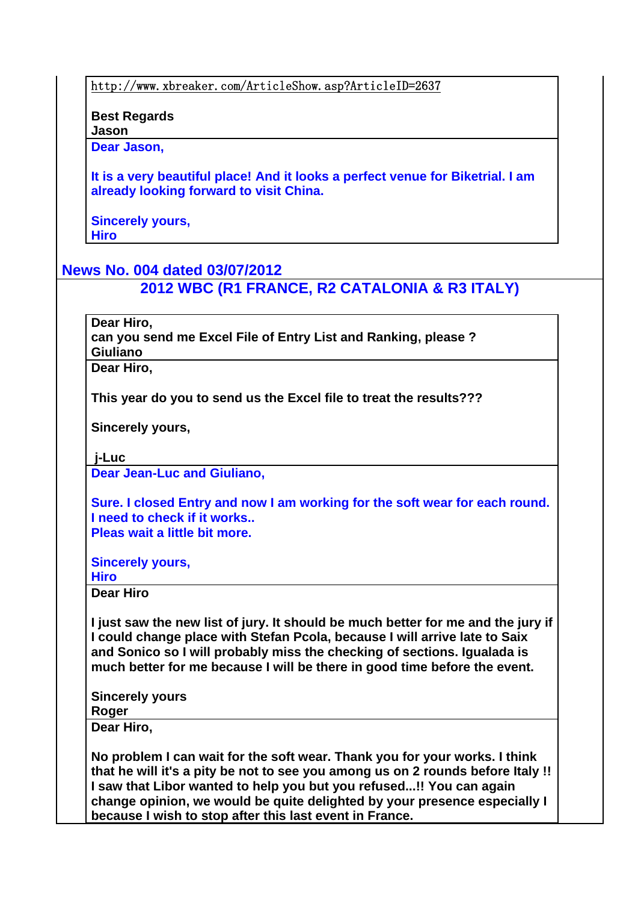http://www.xbreaker.com/ArticleShow.asp?ArticleID=2637

**Best Regards Jason**

**Dear Jason,**

**It is a very beautiful place! And it looks a perfect venue for Biketrial. I am already looking forward to visit China.**

**Sincerely yours, Hiro**

### **News No. 004 dated 03/07/2012**

**2012 WBC (R1 FRANCE, R2 CATALONIA & R3 ITALY)**

**Dear Hiro,**

**can you send me Excel File of Entry List and Ranking, please ? Giuliano**

**Dear Hiro,**

**This year do you to send us the Excel file to treat the results???**

**Sincerely yours,**

 **j-Luc**

**Dear Jean-Luc and Giuliano,**

**Sure. I closed Entry and now I am working for the soft wear for each round. I need to check if it works.. Pleas wait a little bit more.**

**Sincerely yours,**

**Hiro**

**Dear Hiro** 

**I just saw the new list of jury. It should be much better for me and the jury if I could change place with Stefan Pcola, because I will arrive late to Saix and Sonico so I will probably miss the checking of sections. Igualada is much better for me because I will be there in good time before the event.** 

**Sincerely yours Roger**

**Dear Hiro,**

**No problem I can wait for the soft wear. Thank you for your works. I think that he will it's a pity be not to see you among us on 2 rounds before Italy !! I saw that Libor wanted to help you but you refused...!! You can again change opinion, we would be quite delighted by your presence especially I because I wish to stop after this last event in France.**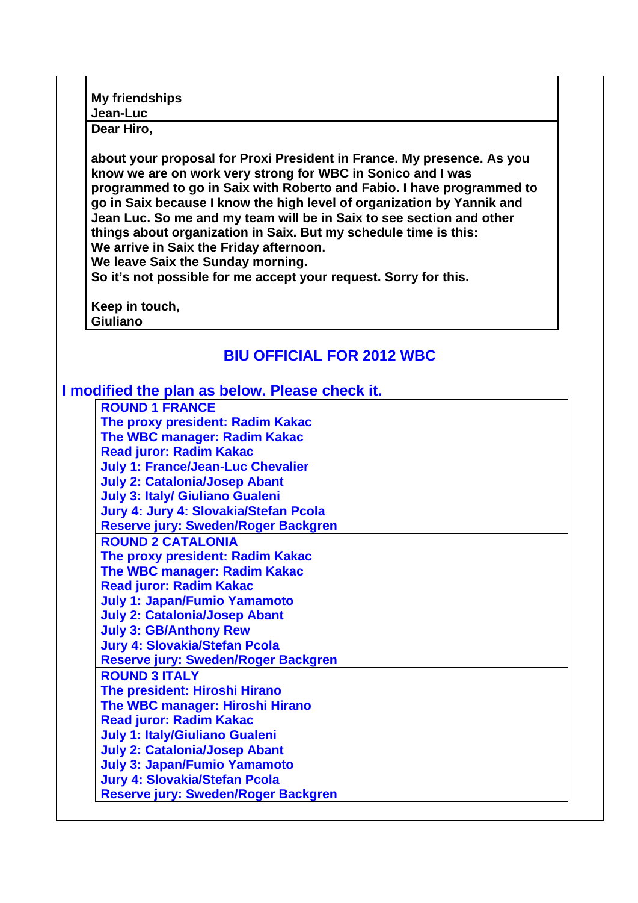**My friendships Jean-Luc**

**Dear Hiro,**

**about your proposal for Proxi President in France. My presence. As you know we are on work very strong for WBC in Sonico and I was programmed to go in Saix with Roberto and Fabio. I have programmed to go in Saix because I know the high level of organization by Yannik and Jean Luc. So me and my team will be in Saix to see section and other things about organization in Saix. But my schedule time is this: We arrive in Saix the Friday afternoon.** 

**We leave Saix the Sunday morning.**

**So it's not possible for me accept your request. Sorry for this.** 

**Keep in touch, Giuliano**

# **BIU OFFICIAL FOR 2012 WBC**

#### **I modified the plan as below. Please check it.**

**ROUND 1 FRANCE The proxy president: Radim Kakac The WBC manager: Radim Kakac Read juror: Radim Kakac July 1: France/Jean-Luc Chevalier July 2: Catalonia/Josep Abant July 3: Italy/ Giuliano Gualeni Jury 4: Jury 4: Slovakia/Stefan Pcola Reserve jury: Sweden/Roger Backgren ROUND 2 CATALONIA The proxy president: Radim Kakac The WBC manager: Radim Kakac Read juror: Radim Kakac July 1: Japan/Fumio Yamamoto July 2: Catalonia/Josep Abant July 3: GB/Anthony Rew Jury 4: Slovakia/Stefan Pcola Reserve jury: Sweden/Roger Backgren ROUND 3 ITALY The president: Hiroshi Hirano The WBC manager: Hiroshi Hirano Read juror: Radim Kakac July 1: Italy/Giuliano Gualeni July 2: Catalonia/Josep Abant July 3: Japan/Fumio Yamamoto Jury 4: Slovakia/Stefan Pcola Reserve jury: Sweden/Roger Backgren**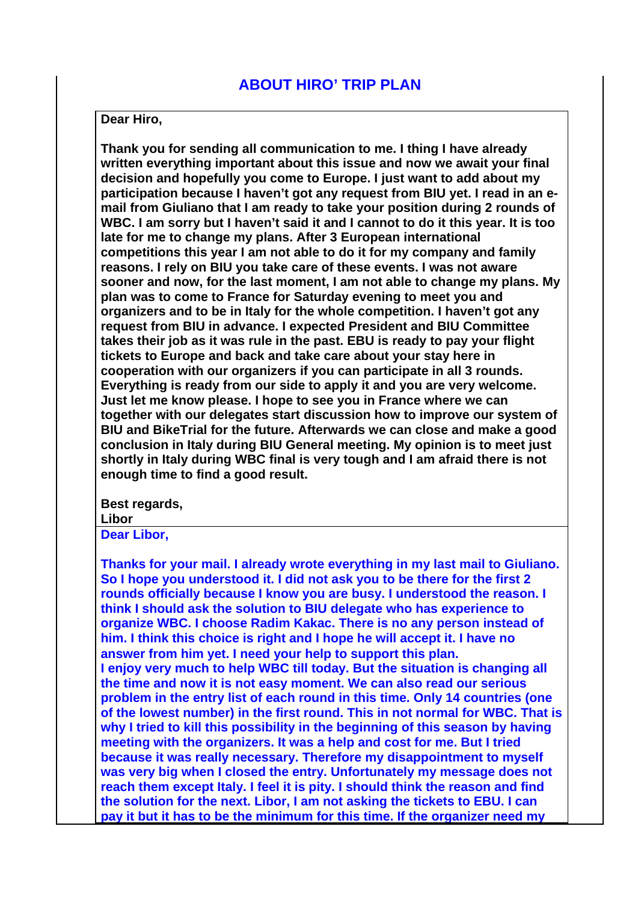#### **Dear Hiro,**

**Thank you for sending all communication to me. I thing I have already written everything important about this issue and now we await your final decision and hopefully you come to Europe. I just want to add about my participation because I haven't got any request from BIU yet. I read in an email from Giuliano that I am ready to take your position during 2 rounds of WBC. I am sorry but I haven't said it and I cannot to do it this year. It is too late for me to change my plans. After 3 European international competitions this year I am not able to do it for my company and family reasons. I rely on BIU you take care of these events. I was not aware sooner and now, for the last moment, I am not able to change my plans. My plan was to come to France for Saturday evening to meet you and organizers and to be in Italy for the whole competition. I haven't got any request from BIU in advance. I expected President and BIU Committee takes their job as it was rule in the past. EBU is ready to pay your flight tickets to Europe and back and take care about your stay here in cooperation with our organizers if you can participate in all 3 rounds. Everything is ready from our side to apply it and you are very welcome. Just let me know please. I hope to see you in France where we can together with our delegates start discussion how to improve our system of BIU and BikeTrial for the future. Afterwards we can close and make a good conclusion in Italy during BIU General meeting. My opinion is to meet just shortly in Italy during WBC final is very tough and I am afraid there is not enough time to find a good result.** 

**Best regards,**

**Libor**

**Dear Libor,**

**Thanks for your mail. I already wrote everything in my last mail to Giuliano. So I hope you understood it. I did not ask you to be there for the first 2 rounds officially because I know you are busy. I understood the reason. I think I should ask the solution to BIU delegate who has experience to organize WBC. I choose Radim Kakac. There is no any person instead of him. I think this choice is right and I hope he will accept it. I have no answer from him yet. I need your help to support this plan. I enjoy very much to help WBC till today. But the situation is changing all the time and now it is not easy moment. We can also read our serious problem in the entry list of each round in this time. Only 14 countries (one of the lowest number) in the first round. This in not normal for WBC. That is why I tried to kill this possibility in the beginning of this season by having meeting with the organizers. It was a help and cost for me. But I tried because it was really necessary. Therefore my disappointment to myself was very big when I closed the entry. Unfortunately my message does not reach them except Italy. I feel it is pity. I should think the reason and find the solution for the next. Libor, I am not asking the tickets to EBU. I can pay it but it has to be the minimum for this time. If the organizer need my**